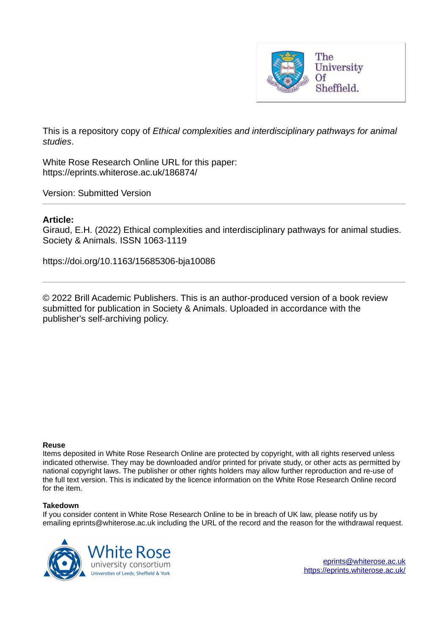

This is a repository copy of *Ethical complexities and interdisciplinary pathways for animal studies*.

White Rose Research Online URL for this paper: https://eprints.whiterose.ac.uk/186874/

Version: Submitted Version

# **Article:**

Giraud, E.H. (2022) Ethical complexities and interdisciplinary pathways for animal studies. Society & Animals. ISSN 1063-1119

https://doi.org/10.1163/15685306-bja10086

© 2022 Brill Academic Publishers. This is an author-produced version of a book review submitted for publication in Society & Animals. Uploaded in accordance with the publisher's self-archiving policy.

### **Reuse**

Items deposited in White Rose Research Online are protected by copyright, with all rights reserved unless indicated otherwise. They may be downloaded and/or printed for private study, or other acts as permitted by national copyright laws. The publisher or other rights holders may allow further reproduction and re-use of the full text version. This is indicated by the licence information on the White Rose Research Online record for the item.

## **Takedown**

If you consider content in White Rose Research Online to be in breach of UK law, please notify us by emailing eprints@whiterose.ac.uk including the URL of the record and the reason for the withdrawal request.

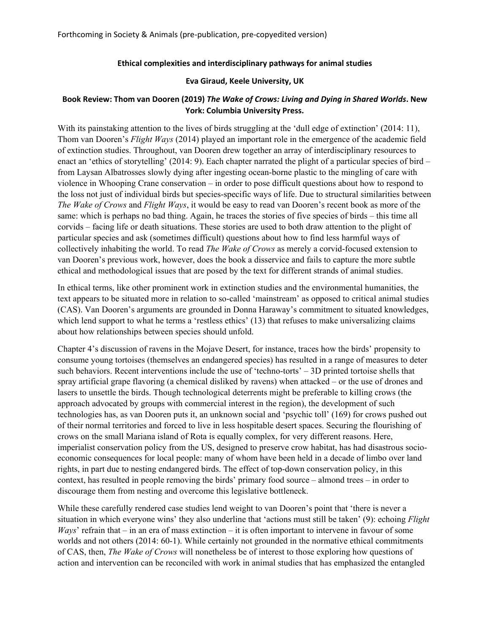## **Ethical complexities and interdisciplinary pathways for animal studies**

### **Eva Giraud, Keele University, UK**

# **Book Review: Thom van Dooren (2019)** *The Wake of Crows: Living and Dying in Shared Worlds***. New York: Columbia University Press.**

With its painstaking attention to the lives of birds struggling at the 'dull edge of extinction' (2014: 11), Thom van Dooren's *Flight Ways* (2014) played an important role in the emergence of the academic field of extinction studies. Throughout, van Dooren drew together an array of interdisciplinary resources to enact an 'ethics of storytelling' (2014: 9). Each chapter narrated the plight of a particular species of bird – from Laysan Albatrosses slowly dying after ingesting ocean-borne plastic to the mingling of care with violence in Whooping Crane conservation – in order to pose difficult questions about how to respond to the loss not just of individual birds but species-specific ways of life. Due to structural similarities between *The Wake of Crows* and *Flight Ways*, it would be easy to read van Dooren's recent book as more of the same: which is perhaps no bad thing. Again, he traces the stories of five species of birds – this time all corvids – facing life or death situations. These stories are used to both draw attention to the plight of particular species and ask (sometimes difficult) questions about how to find less harmful ways of collectively inhabiting the world. To read *The Wake of Crows* as merely a corvid-focused extension to van Dooren's previous work, however, does the book a disservice and fails to capture the more subtle ethical and methodological issues that are posed by the text for different strands of animal studies.

In ethical terms, like other prominent work in extinction studies and the environmental humanities, the text appears to be situated more in relation to so-called 'mainstream' as opposed to critical animal studies (CAS). Van Dooren's arguments are grounded in Donna Haraway's commitment to situated knowledges, which lend support to what he terms a 'restless ethics' (13) that refuses to make universalizing claims about how relationships between species should unfold.

Chapter 4's discussion of ravens in the Mojave Desert, for instance, traces how the birds' propensity to consume young tortoises (themselves an endangered species) has resulted in a range of measures to deter such behaviors. Recent interventions include the use of 'techno-torts' – 3D printed tortoise shells that spray artificial grape flavoring (a chemical disliked by ravens) when attacked – or the use of drones and lasers to unsettle the birds. Though technological deterrents might be preferable to killing crows (the approach advocated by groups with commercial interest in the region), the development of such technologies has, as van Dooren puts it, an unknown social and 'psychic toll' (169) for crows pushed out of their normal territories and forced to live in less hospitable desert spaces. Securing the flourishing of crows on the small Mariana island of Rota is equally complex, for very different reasons. Here, imperialist conservation policy from the US, designed to preserve crow habitat, has had disastrous socioeconomic consequences for local people: many of whom have been held in a decade of limbo over land rights, in part due to nesting endangered birds. The effect of top-down conservation policy, in this context, has resulted in people removing the birds' primary food source – almond trees – in order to discourage them from nesting and overcome this legislative bottleneck.

While these carefully rendered case studies lend weight to van Dooren's point that 'there is never a situation in which everyone wins' they also underline that 'actions must still be taken' (9): echoing *Flight Ways*' refrain that – in an era of mass extinction – it is often important to intervene in favour of some worlds and not others (2014: 60-1). While certainly not grounded in the normative ethical commitments of CAS, then, *The Wake of Crows* will nonetheless be of interest to those exploring how questions of action and intervention can be reconciled with work in animal studies that has emphasized the entangled